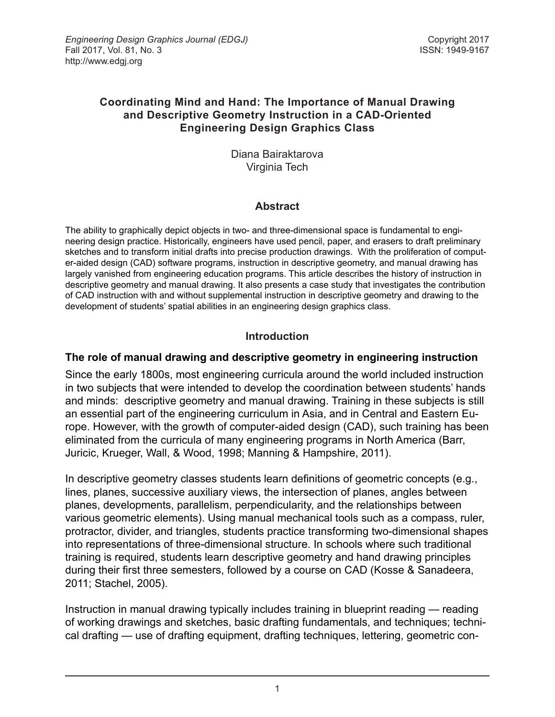### **Coordinating Mind and Hand: The Importance of Manual Drawing and Descriptive Geometry Instruction in a CAD-Oriented Engineering Design Graphics Class**

Diana Bairaktarova Virginia Tech

## **Abstract**

The ability to graphically depict objects in two- and three-dimensional space is fundamental to engineering design practice. Historically, engineers have used pencil, paper, and erasers to draft preliminary sketches and to transform initial drafts into precise production drawings. With the proliferation of computer-aided design (CAD) software programs, instruction in descriptive geometry, and manual drawing has largely vanished from engineering education programs. This article describes the history of instruction in descriptive geometry and manual drawing. It also presents a case study that investigates the contribution of CAD instruction with and without supplemental instruction in descriptive geometry and drawing to the development of students' spatial abilities in an engineering design graphics class.

## **Introduction**

### **The role of manual drawing and descriptive geometry in engineering instruction**

Since the early 1800s, most engineering curricula around the world included instruction in two subjects that were intended to develop the coordination between students' hands and minds: descriptive geometry and manual drawing. Training in these subjects is still an essential part of the engineering curriculum in Asia, and in Central and Eastern Europe. However, with the growth of computer-aided design (CAD), such training has been eliminated from the curricula of many engineering programs in North America (Barr, Juricic, Krueger, Wall, & Wood, 1998; Manning & Hampshire, 2011).

In descriptive geometry classes students learn definitions of geometric concepts (e.g., lines, planes, successive auxiliary views, the intersection of planes, angles between planes, developments, parallelism, perpendicularity, and the relationships between various geometric elements). Using manual mechanical tools such as a compass, ruler, protractor, divider, and triangles, students practice transforming two-dimensional shapes into representations of three-dimensional structure. In schools where such traditional training is required, students learn descriptive geometry and hand drawing principles during their first three semesters, followed by a course on CAD (Kosse & Sanadeera, 2011; Stachel, 2005).

Instruction in manual drawing typically includes training in blueprint reading — reading of working drawings and sketches, basic drafting fundamentals, and techniques; technical drafting — use of drafting equipment, drafting techniques, lettering, geometric con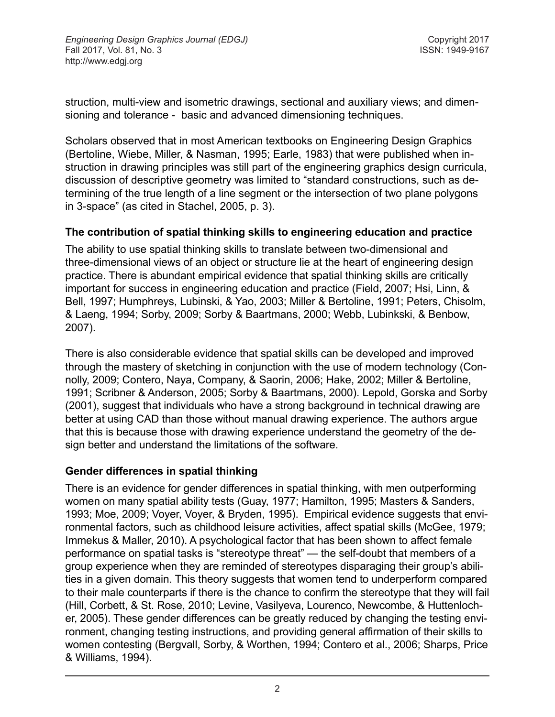struction, multi-view and isometric drawings, sectional and auxiliary views; and dimensioning and tolerance - basic and advanced dimensioning techniques.

Scholars observed that in most American textbooks on Engineering Design Graphics (Bertoline, Wiebe, Miller, & Nasman, 1995; Earle, 1983) that were published when instruction in drawing principles was still part of the engineering graphics design curricula, discussion of descriptive geometry was limited to "standard constructions, such as determining of the true length of a line segment or the intersection of two plane polygons in 3-space" (as cited in Stachel, 2005, p. 3).

### **The contribution of spatial thinking skills to engineering education and practice**

The ability to use spatial thinking skills to translate between two-dimensional and three-dimensional views of an object or structure lie at the heart of engineering design practice. There is abundant empirical evidence that spatial thinking skills are critically important for success in engineering education and practice (Field, 2007; Hsi, Linn, & Bell, 1997; Humphreys, Lubinski, & Yao, 2003; Miller & Bertoline, 1991; Peters, Chisolm, & Laeng, 1994; Sorby, 2009; Sorby & Baartmans, 2000; Webb, Lubinkski, & Benbow, 2007).

There is also considerable evidence that spatial skills can be developed and improved through the mastery of sketching in conjunction with the use of modern technology (Connolly, 2009; Contero, Naya, Company, & Saorin, 2006; Hake, 2002; Miller & Bertoline, 1991; Scribner & Anderson, 2005; Sorby & Baartmans, 2000). Lepold, Gorska and Sorby (2001), suggest that individuals who have a strong background in technical drawing are better at using CAD than those without manual drawing experience. The authors argue that this is because those with drawing experience understand the geometry of the design better and understand the limitations of the software.

#### **Gender differences in spatial thinking**

There is an evidence for gender differences in spatial thinking, with men outperforming women on many spatial ability tests (Guay, 1977; Hamilton, 1995; Masters & Sanders, 1993; Moe, 2009; Voyer, Voyer, & Bryden, 1995). Empirical evidence suggests that environmental factors, such as childhood leisure activities, affect spatial skills (McGee, 1979; Immekus & Maller, 2010). A psychological factor that has been shown to affect female performance on spatial tasks is "stereotype threat" — the self-doubt that members of a group experience when they are reminded of stereotypes disparaging their group's abilities in a given domain. This theory suggests that women tend to underperform compared to their male counterparts if there is the chance to confirm the stereotype that they will fail (Hill, Corbett, & St. Rose, 2010; Levine, Vasilyeva, Lourenco, Newcombe, & Huttenlocher, 2005). These gender differences can be greatly reduced by changing the testing environment, changing testing instructions, and providing general affirmation of their skills to women contesting (Bergvall, Sorby, & Worthen, 1994; Contero et al., 2006; Sharps, Price & Williams, 1994).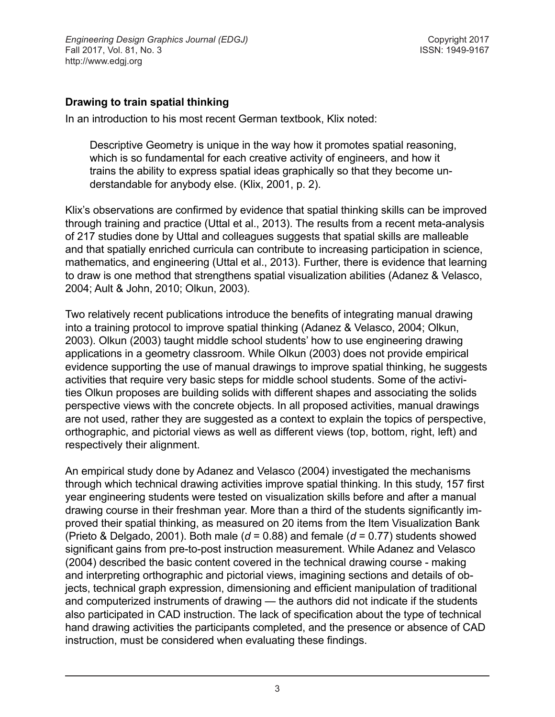### **Drawing to train spatial thinking**

In an introduction to his most recent German textbook, Klix noted:

Descriptive Geometry is unique in the way how it promotes spatial reasoning, which is so fundamental for each creative activity of engineers, and how it trains the ability to express spatial ideas graphically so that they become understandable for anybody else. (Klix, 2001, p. 2).

Klix's observations are confirmed by evidence that spatial thinking skills can be improved through training and practice (Uttal et al., 2013). The results from a recent meta-analysis of 217 studies done by Uttal and colleagues suggests that spatial skills are malleable and that spatially enriched curricula can contribute to increasing participation in science, mathematics, and engineering (Uttal et al., 2013). Further, there is evidence that learning to draw is one method that strengthens spatial visualization abilities (Adanez & Velasco, 2004; Ault & John, 2010; Olkun, 2003).

Two relatively recent publications introduce the benefits of integrating manual drawing into a training protocol to improve spatial thinking (Adanez & Velasco, 2004; Olkun, 2003). Olkun (2003) taught middle school students' how to use engineering drawing applications in a geometry classroom. While Olkun (2003) does not provide empirical evidence supporting the use of manual drawings to improve spatial thinking, he suggests activities that require very basic steps for middle school students. Some of the activities Olkun proposes are building solids with different shapes and associating the solids perspective views with the concrete objects. In all proposed activities, manual drawings are not used, rather they are suggested as a context to explain the topics of perspective, orthographic, and pictorial views as well as different views (top, bottom, right, left) and respectively their alignment.

An empirical study done by Adanez and Velasco (2004) investigated the mechanisms through which technical drawing activities improve spatial thinking. In this study, 157 first year engineering students were tested on visualization skills before and after a manual drawing course in their freshman year. More than a third of the students significantly improved their spatial thinking, as measured on 20 items from the Item Visualization Bank (Prieto & Delgado, 2001). Both male (*d* = 0.88) and female (*d* = 0.77) students showed significant gains from pre-to-post instruction measurement. While Adanez and Velasco (2004) described the basic content covered in the technical drawing course - making and interpreting orthographic and pictorial views, imagining sections and details of objects, technical graph expression, dimensioning and efficient manipulation of traditional and computerized instruments of drawing — the authors did not indicate if the students also participated in CAD instruction. The lack of specification about the type of technical hand drawing activities the participants completed, and the presence or absence of CAD instruction, must be considered when evaluating these findings.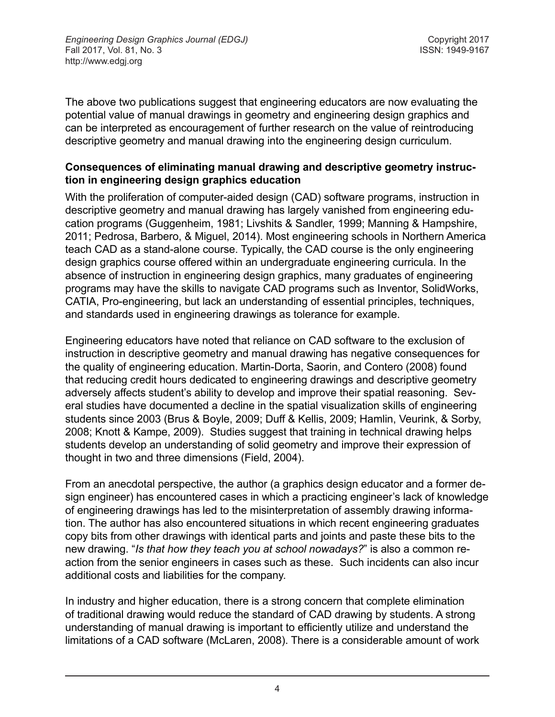The above two publications suggest that engineering educators are now evaluating the potential value of manual drawings in geometry and engineering design graphics and can be interpreted as encouragement of further research on the value of reintroducing descriptive geometry and manual drawing into the engineering design curriculum.

### **Consequences of eliminating manual drawing and descriptive geometry instruction in engineering design graphics education**

With the proliferation of computer-aided design (CAD) software programs, instruction in descriptive geometry and manual drawing has largely vanished from engineering education programs (Guggenheim, 1981; Livshits & Sandler, 1999; Manning & Hampshire, 2011; Pedrosa, Barbero, & Miguel, 2014). Most engineering schools in Northern America teach CAD as a stand-alone course. Typically, the CAD course is the only engineering design graphics course offered within an undergraduate engineering curricula. In the absence of instruction in engineering design graphics, many graduates of engineering programs may have the skills to navigate CAD programs such as Inventor, SolidWorks, CATIA, Pro-engineering, but lack an understanding of essential principles, techniques, and standards used in engineering drawings as tolerance for example.

Engineering educators have noted that reliance on CAD software to the exclusion of instruction in descriptive geometry and manual drawing has negative consequences for the quality of engineering education. Martin-Dorta, Saorin, and Contero (2008) found that reducing credit hours dedicated to engineering drawings and descriptive geometry adversely affects student's ability to develop and improve their spatial reasoning. Several studies have documented a decline in the spatial visualization skills of engineering students since 2003 (Brus & Boyle, 2009; Duff & Kellis, 2009; Hamlin, Veurink, & Sorby, 2008; Knott & Kampe, 2009). Studies suggest that training in technical drawing helps students develop an understanding of solid geometry and improve their expression of thought in two and three dimensions (Field, 2004).

From an anecdotal perspective, the author (a graphics design educator and a former design engineer) has encountered cases in which a practicing engineer's lack of knowledge of engineering drawings has led to the misinterpretation of assembly drawing information. The author has also encountered situations in which recent engineering graduates copy bits from other drawings with identical parts and joints and paste these bits to the new drawing. "*Is that how they teach you at school nowadays?*" is also a common reaction from the senior engineers in cases such as these. Such incidents can also incur additional costs and liabilities for the company.

In industry and higher education, there is a strong concern that complete elimination of traditional drawing would reduce the standard of CAD drawing by students. A strong understanding of manual drawing is important to efficiently utilize and understand the limitations of a CAD software (McLaren, 2008). There is a considerable amount of work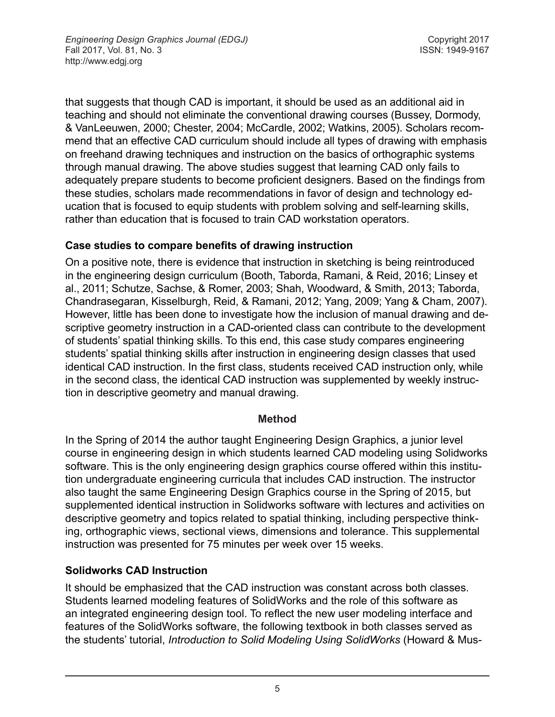that suggests that though CAD is important, it should be used as an additional aid in teaching and should not eliminate the conventional drawing courses (Bussey, Dormody, & VanLeeuwen, 2000; Chester, 2004; McCardle, 2002; Watkins, 2005). Scholars recommend that an effective CAD curriculum should include all types of drawing with emphasis on freehand drawing techniques and instruction on the basics of orthographic systems through manual drawing. The above studies suggest that learning CAD only fails to adequately prepare students to become proficient designers. Based on the findings from these studies, scholars made recommendations in favor of design and technology education that is focused to equip students with problem solving and self-learning skills, rather than education that is focused to train CAD workstation operators.

### **Case studies to compare benefits of drawing instruction**

On a positive note, there is evidence that instruction in sketching is being reintroduced in the engineering design curriculum (Booth, Taborda, Ramani, & Reid, 2016; Linsey et al., 2011; Schutze, Sachse, & Romer, 2003; Shah, Woodward, & Smith, 2013; Taborda, Chandrasegaran, Kisselburgh, Reid, & Ramani, 2012; Yang, 2009; Yang & Cham, 2007). However, little has been done to investigate how the inclusion of manual drawing and descriptive geometry instruction in a CAD-oriented class can contribute to the development of students' spatial thinking skills. To this end, this case study compares engineering students' spatial thinking skills after instruction in engineering design classes that used identical CAD instruction. In the first class, students received CAD instruction only, while in the second class, the identical CAD instruction was supplemented by weekly instruction in descriptive geometry and manual drawing.

#### **Method**

In the Spring of 2014 the author taught Engineering Design Graphics, a junior level course in engineering design in which students learned CAD modeling using Solidworks software. This is the only engineering design graphics course offered within this institution undergraduate engineering curricula that includes CAD instruction. The instructor also taught the same Engineering Design Graphics course in the Spring of 2015, but supplemented identical instruction in Solidworks software with lectures and activities on descriptive geometry and topics related to spatial thinking, including perspective thinking, orthographic views, sectional views, dimensions and tolerance. This supplemental instruction was presented for 75 minutes per week over 15 weeks.

### **Solidworks CAD Instruction**

It should be emphasized that the CAD instruction was constant across both classes. Students learned modeling features of SolidWorks and the role of this software as an integrated engineering design tool. To reflect the new user modeling interface and features of the SolidWorks software, the following textbook in both classes served as the students' tutorial, *Introduction to Solid Modeling Using SolidWorks* (Howard & Mus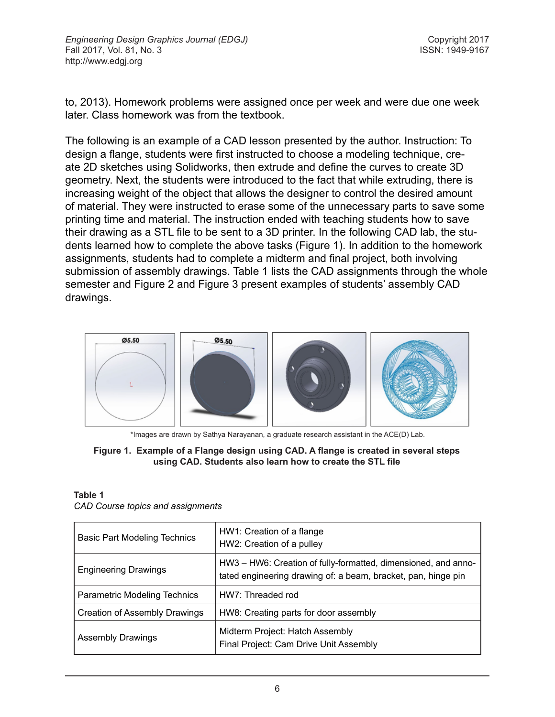to, 2013). Homework problems were assigned once per week and were due one week later. Class homework was from the textbook.

The following is an example of a CAD lesson presented by the author. Instruction: To design a flange, students were first instructed to choose a modeling technique, create 2D sketches using Solidworks, then extrude and define the curves to create 3D geometry. Next, the students were introduced to the fact that while extruding, there is increasing weight of the object that allows the designer to control the desired amount of material. They were instructed to erase some of the unnecessary parts to save some printing time and material. The instruction ended with teaching students how to save their drawing as a STL file to be sent to a 3D printer. In the following CAD lab, the students learned how to complete the above tasks (Figure 1). In addition to the homework assignments, students had to complete a midterm and final project, both involving submission of assembly drawings. Table 1 lists the CAD assignments through the whole semester and Figure 2 and Figure 3 present examples of students' assembly CAD drawings.



\*Images are drawn by Sathya Narayanan, a graduate research assistant in the ACE(D) Lab.

#### **Figure 1. Example of a Flange design using CAD. A flange is created in several steps using CAD. Students also learn how to create the STL file**

#### **Table 1**

|  |  |  |  | CAD Course topics and assignments |
|--|--|--|--|-----------------------------------|
|--|--|--|--|-----------------------------------|

| <b>Basic Part Modeling Technics</b> | HW1: Creation of a flange<br>HW2: Creation of a pulley                                                                          |  |  |
|-------------------------------------|---------------------------------------------------------------------------------------------------------------------------------|--|--|
| <b>Engineering Drawings</b>         | HW3 - HW6: Creation of fully-formatted, dimensioned, and anno-<br>tated engineering drawing of: a beam, bracket, pan, hinge pin |  |  |
| <b>Parametric Modeling Technics</b> | HW7: Threaded rod                                                                                                               |  |  |
| Creation of Assembly Drawings       | HW8: Creating parts for door assembly                                                                                           |  |  |
| <b>Assembly Drawings</b>            | Midterm Project: Hatch Assembly<br>Final Project: Cam Drive Unit Assembly                                                       |  |  |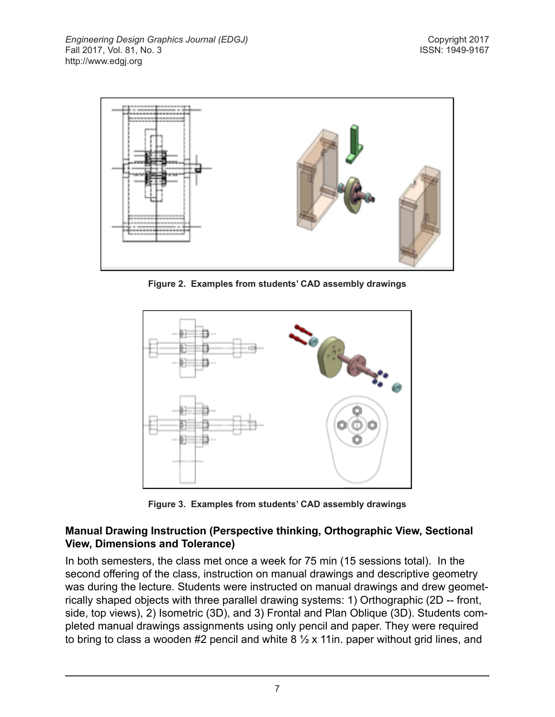

**Figure 2. Examples from students' CAD assembly drawings**



**Figure 3. Examples from students' CAD assembly drawings**

### **Manual Drawing Instruction (Perspective thinking, Orthographic View, Sectional View, Dimensions and Tolerance)**

In both semesters, the class met once a week for 75 min (15 sessions total). In the second offering of the class, instruction on manual drawings and descriptive geometry was during the lecture. Students were instructed on manual drawings and drew geometrically shaped objects with three parallel drawing systems: 1) Orthographic (2D -- front, side, top views), 2) Isometric (3D), and 3) Frontal and Plan Oblique (3D). Students completed manual drawings assignments using only pencil and paper. They were required to bring to class a wooden #2 pencil and white  $8\frac{1}{2}$  x 11in. paper without grid lines, and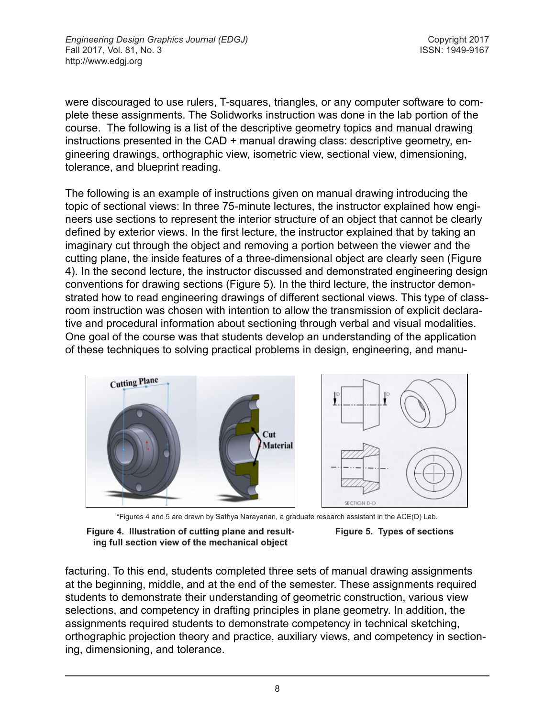were discouraged to use rulers, T-squares, triangles, or any computer software to complete these assignments. The Solidworks instruction was done in the lab portion of the course. The following is a list of the descriptive geometry topics and manual drawing instructions presented in the CAD + manual drawing class: descriptive geometry, engineering drawings, orthographic view, isometric view, sectional view, dimensioning, tolerance, and blueprint reading.

The following is an example of instructions given on manual drawing introducing the topic of sectional views: In three 75-minute lectures, the instructor explained how engineers use sections to represent the interior structure of an object that cannot be clearly defined by exterior views. In the first lecture, the instructor explained that by taking an imaginary cut through the object and removing a portion between the viewer and the cutting plane, the inside features of a three-dimensional object are clearly seen (Figure 4). In the second lecture, the instructor discussed and demonstrated engineering design conventions for drawing sections (Figure 5). In the third lecture, the instructor demonstrated how to read engineering drawings of different sectional views. This type of classroom instruction was chosen with intention to allow the transmission of explicit declarative and procedural information about sectioning through verbal and visual modalities. One goal of the course was that students develop an understanding of the application of these techniques to solving practical problems in design, engineering, and manu-



\*Figures 4 and 5 are drawn by Sathya Narayanan, a graduate research assistant in the ACE(D) Lab.

**Figure 4. Illustration of cutting plane and resulting full section view of the mechanical object**



facturing. To this end, students completed three sets of manual drawing assignments at the beginning, middle, and at the end of the semester. These assignments required students to demonstrate their understanding of geometric construction, various view selections, and competency in drafting principles in plane geometry. In addition, the assignments required students to demonstrate competency in technical sketching, orthographic projection theory and practice, auxiliary views, and competency in sectioning, dimensioning, and tolerance.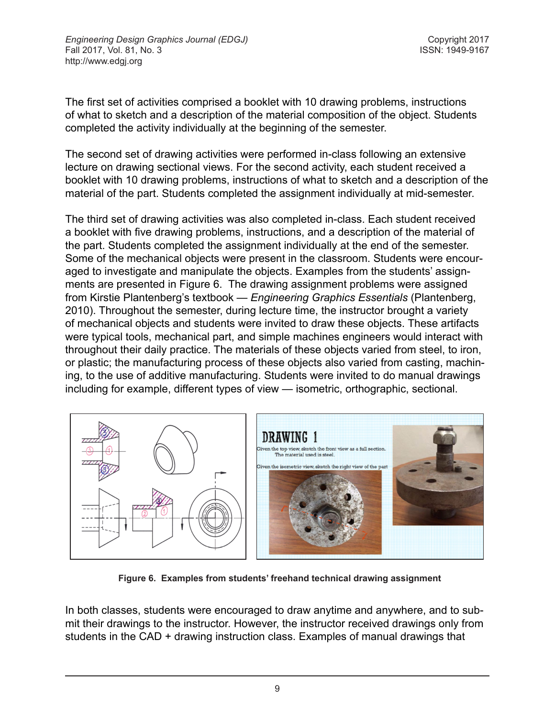The first set of activities comprised a booklet with 10 drawing problems, instructions of what to sketch and a description of the material composition of the object. Students completed the activity individually at the beginning of the semester.

The second set of drawing activities were performed in-class following an extensive lecture on drawing sectional views. For the second activity, each student received a booklet with 10 drawing problems, instructions of what to sketch and a description of the material of the part. Students completed the assignment individually at mid-semester.

The third set of drawing activities was also completed in-class. Each student received a booklet with five drawing problems, instructions, and a description of the material of the part. Students completed the assignment individually at the end of the semester. Some of the mechanical objects were present in the classroom. Students were encouraged to investigate and manipulate the objects. Examples from the students' assignments are presented in Figure 6. The drawing assignment problems were assigned from Kirstie Plantenberg's textbook — *Engineering Graphics Essentials* (Plantenberg, 2010). Throughout the semester, during lecture time, the instructor brought a variety of mechanical objects and students were invited to draw these objects. These artifacts were typical tools, mechanical part, and simple machines engineers would interact with throughout their daily practice. The materials of these objects varied from steel, to iron, or plastic; the manufacturing process of these objects also varied from casting, machining, to the use of additive manufacturing. Students were invited to do manual drawings including for example, different types of view — isometric, orthographic, sectional.



**Figure 6. Examples from students' freehand technical drawing assignment**

In both classes, students were encouraged to draw anytime and anywhere, and to submit their drawings to the instructor. However, the instructor received drawings only from students in the CAD + drawing instruction class. Examples of manual drawings that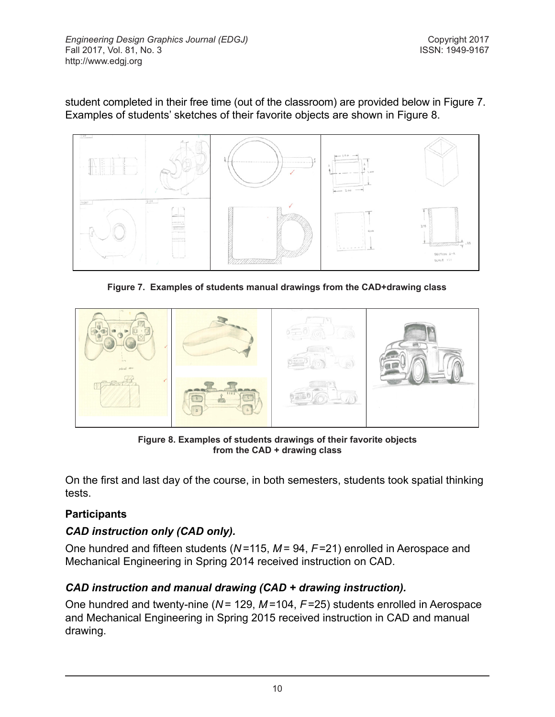student completed in their free time (out of the classroom) are provided below in Figure 7. Examples of students' sketches of their favorite objects are shown in Figure 8.



**Figure 7. Examples of students manual drawings from the CAD+drawing class**



**Figure 8. Examples of students drawings of their favorite objects from the CAD + drawing class**

On the first and last day of the course, in both semesters, students took spatial thinking tests.

### **Participants**

### *CAD instruction only (CAD only).*

One hundred and fifteen students (*N* =115, *M* = 94, *F*=21) enrolled in Aerospace and Mechanical Engineering in Spring 2014 received instruction on CAD.

# *CAD instruction and manual drawing (CAD + drawing instruction).*

One hundred and twenty-nine (*N* = 129, *M* =104, *F*=25) students enrolled in Aerospace and Mechanical Engineering in Spring 2015 received instruction in CAD and manual drawing.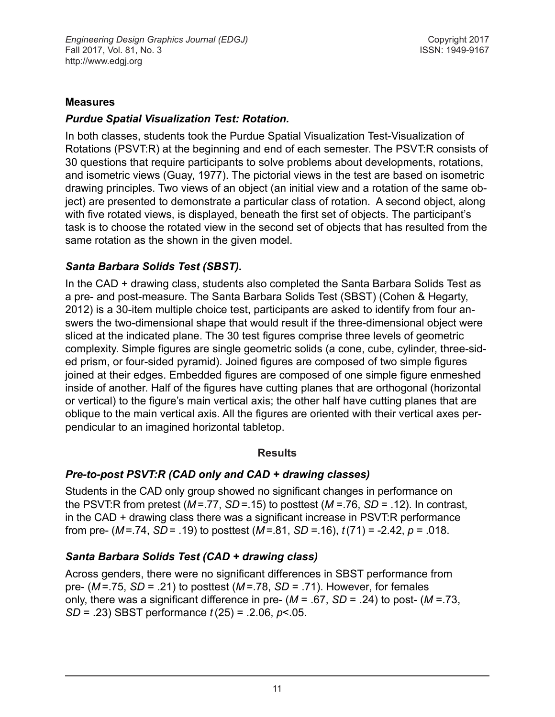#### **Measures**

#### *Purdue Spatial Visualization Test: Rotation.*

In both classes, students took the Purdue Spatial Visualization Test-Visualization of Rotations (PSVT:R) at the beginning and end of each semester. The PSVT:R consists of 30 questions that require participants to solve problems about developments, rotations, and isometric views (Guay, 1977). The pictorial views in the test are based on isometric drawing principles. Two views of an object (an initial view and a rotation of the same object) are presented to demonstrate a particular class of rotation. A second object, along with five rotated views, is displayed, beneath the first set of objects. The participant's task is to choose the rotated view in the second set of objects that has resulted from the same rotation as the shown in the given model.

### *Santa Barbara Solids Test (SBST).*

In the CAD + drawing class, students also completed the Santa Barbara Solids Test as a pre- and post-measure. The Santa Barbara Solids Test (SBST) (Cohen & Hegarty, 2012) is a 30-item multiple choice test, participants are asked to identify from four answers the two-dimensional shape that would result if the three-dimensional object were sliced at the indicated plane. The 30 test figures comprise three levels of geometric complexity. Simple figures are single geometric solids (a cone, cube, cylinder, three-sided prism, or four-sided pyramid). Joined figures are composed of two simple figures joined at their edges. Embedded figures are composed of one simple figure enmeshed inside of another. Half of the figures have cutting planes that are orthogonal (horizontal or vertical) to the figure's main vertical axis; the other half have cutting planes that are oblique to the main vertical axis. All the figures are oriented with their vertical axes perpendicular to an imagined horizontal tabletop.

#### **Results**

### *Pre-to-post PSVT:R (CAD only and CAD + drawing classes)*

Students in the CAD only group showed no significant changes in performance on the PSVT:R from pretest (*M* =.77, *SD* =.15) to posttest (*M* =.76, *SD* = .12). In contrast, in the CAD + drawing class there was a significant increase in PSVT:R performance from pre- (*M* =.74, *SD* = .19) to posttest (*M* =.81, *SD* =.16), *t*(71) = -2.42, *p* = .018.

### *Santa Barbara Solids Test (CAD + drawing class)*

Across genders, there were no significant differences in SBST performance from pre- (*M* =.75, *SD* = .21) to posttest (*M* =.78, *SD* = .71). However, for females only, there was a significant difference in pre- (*M* = .67, *SD* = .24) to post- (*M* =.73, *SD* = .23) SBST performance *t* (25) = .2.06, *p*<.05.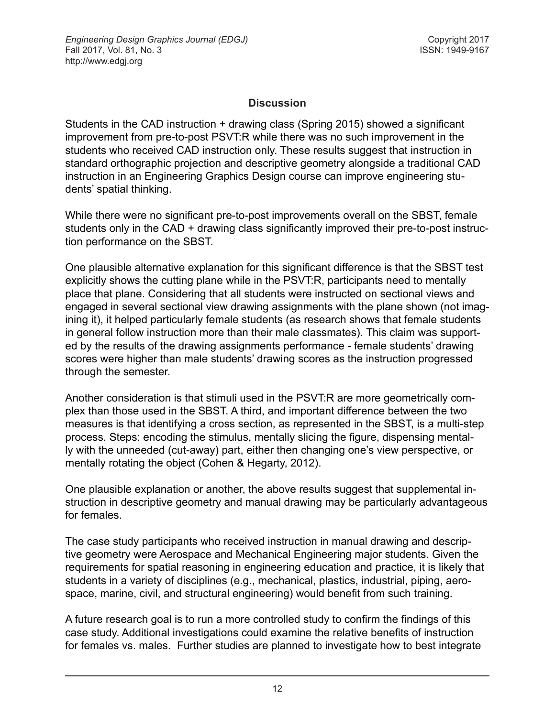### **Discussion**

Students in the CAD instruction + drawing class (Spring 2015) showed a significant improvement from pre-to-post PSVT:R while there was no such improvement in the students who received CAD instruction only. These results suggest that instruction in standard orthographic projection and descriptive geometry alongside a traditional CAD instruction in an Engineering Graphics Design course can improve engineering students' spatial thinking.

While there were no significant pre-to-post improvements overall on the SBST, female students only in the CAD + drawing class significantly improved their pre-to-post instruction performance on the SBST.

One plausible alternative explanation for this significant difference is that the SBST test explicitly shows the cutting plane while in the PSVT:R, participants need to mentally place that plane. Considering that all students were instructed on sectional views and engaged in several sectional view drawing assignments with the plane shown (not imagining it), it helped particularly female students (as research shows that female students in general follow instruction more than their male classmates). This claim was supported by the results of the drawing assignments performance - female students' drawing scores were higher than male students' drawing scores as the instruction progressed through the semester.

Another consideration is that stimuli used in the PSVT:R are more geometrically complex than those used in the SBST. A third, and important difference between the two measures is that identifying a cross section, as represented in the SBST, is a multi-step process. Steps: encoding the stimulus, mentally slicing the figure, dispensing mentally with the unneeded (cut-away) part, either then changing one's view perspective, or mentally rotating the object (Cohen & Hegarty, 2012).

One plausible explanation or another, the above results suggest that supplemental instruction in descriptive geometry and manual drawing may be particularly advantageous for females.

The case study participants who received instruction in manual drawing and descriptive geometry were Aerospace and Mechanical Engineering major students. Given the requirements for spatial reasoning in engineering education and practice, it is likely that students in a variety of disciplines (e.g., mechanical, plastics, industrial, piping, aerospace, marine, civil, and structural engineering) would benefit from such training.

A future research goal is to run a more controlled study to confirm the findings of this case study. Additional investigations could examine the relative benefits of instruction for females vs. males. Further studies are planned to investigate how to best integrate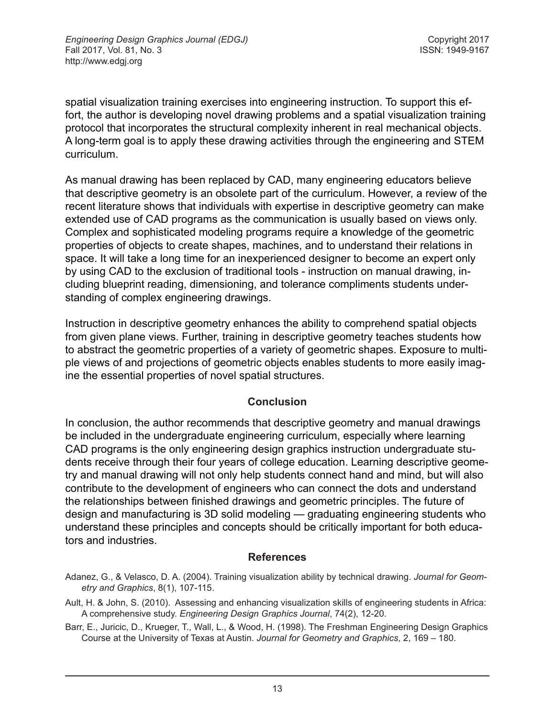spatial visualization training exercises into engineering instruction. To support this effort, the author is developing novel drawing problems and a spatial visualization training protocol that incorporates the structural complexity inherent in real mechanical objects. A long-term goal is to apply these drawing activities through the engineering and STEM curriculum.

As manual drawing has been replaced by CAD, many engineering educators believe that descriptive geometry is an obsolete part of the curriculum. However, a review of the recent literature shows that individuals with expertise in descriptive geometry can make extended use of CAD programs as the communication is usually based on views only. Complex and sophisticated modeling programs require a knowledge of the geometric properties of objects to create shapes, machines, and to understand their relations in space. It will take a long time for an inexperienced designer to become an expert only by using CAD to the exclusion of traditional tools - instruction on manual drawing, including blueprint reading, dimensioning, and tolerance compliments students understanding of complex engineering drawings.

Instruction in descriptive geometry enhances the ability to comprehend spatial objects from given plane views. Further, training in descriptive geometry teaches students how to abstract the geometric properties of a variety of geometric shapes. Exposure to multiple views of and projections of geometric objects enables students to more easily imagine the essential properties of novel spatial structures.

#### **Conclusion**

In conclusion, the author recommends that descriptive geometry and manual drawings be included in the undergraduate engineering curriculum, especially where learning CAD programs is the only engineering design graphics instruction undergraduate students receive through their four years of college education. Learning descriptive geometry and manual drawing will not only help students connect hand and mind, but will also contribute to the development of engineers who can connect the dots and understand the relationships between finished drawings and geometric principles. The future of design and manufacturing is 3D solid modeling — graduating engineering students who understand these principles and concepts should be critically important for both educators and industries.

#### **References**

- Adanez, G., & Velasco, D. A. (2004). Training visualization ability by technical drawing. *Journal for Geometry and Graphics*, 8(1), 107-115.
- Ault, H. & John, S. (2010). Assessing and enhancing visualization skills of engineering students in Africa: A comprehensive study. *Engineering Design Graphics Journal*, 74(2), 12-20.
- Barr, E., Juricic, D., Krueger, T., Wall, L., & Wood, H. (1998). The Freshman Engineering Design Graphics Course at the University of Texas at Austin. *Journal for Geometry and Graphics*, 2, 169 – 180.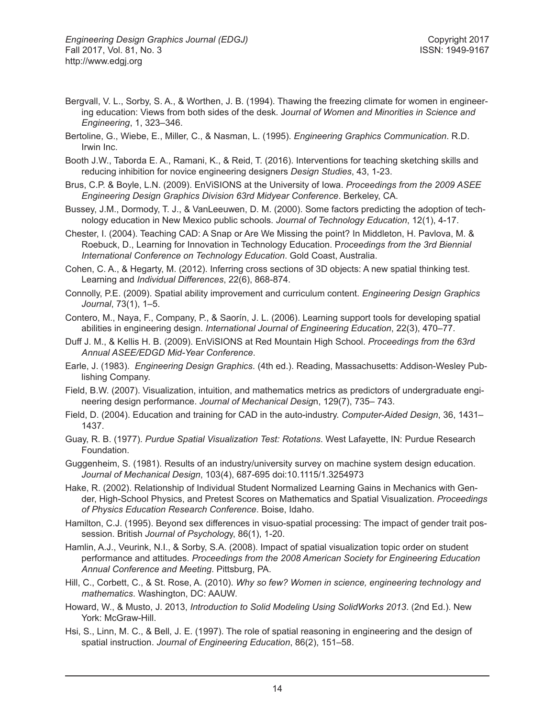- Bergvall, V. L., Sorby, S. A., & Worthen, J. B. (1994). Thawing the freezing climate for women in engineering education: Views from both sides of the desk. J*ournal of Women and Minorities in Science and Engineering*, 1, 323–346.
- Bertoline, G., Wiebe, E., Miller, C., & Nasman, L. (1995). *Engineering Graphics Communication*. R.D. Irwin Inc.
- Booth J.W., Taborda E. A., Ramani, K., & Reid, T. (2016). Interventions for teaching sketching skills and reducing inhibition for novice engineering designers *Design Studies*, 43, 1-23.
- Brus, C.P. & Boyle, L.N. (2009). EnViSIONS at the University of Iowa. *Proceedings from the 2009 ASEE Engineering Design Graphics Division 63rd Midyear Conference*. Berkeley, CA.
- Bussey, J.M., Dormody, T. J., & VanLeeuwen, D. M. (2000). Some factors predicting the adoption of technology education in New Mexico public schools. *Journal of Technology Education*, 12(1), 4-17.
- Chester, I. (2004). Teaching CAD: A Snap or Are We Missing the point? In Middleton, H. Pavlova, M. & Roebuck, D., Learning for Innovation in Technology Education. P*roceedings from the 3rd Biennial International Conference on Technology Education*. Gold Coast, Australia.
- Cohen, C. A., & Hegarty, M. (2012). Inferring cross sections of 3D objects: A new spatial thinking test. Learning and *Individual Differences*, 22(6), 868-874.
- Connolly, P.E. (2009). Spatial ability improvement and curriculum content. *Engineering Design Graphics Journal*, 73(1), 1–5.
- Contero, M., Naya, F., Company, P., & Saorín, J. L. (2006). Learning support tools for developing spatial abilities in engineering design. *International Journal of Engineering Education*, 22(3), 470–77.
- Duff J. M., & Kellis H. B. (2009). EnViSIONS at Red Mountain High School. *Proceedings from the 63rd Annual ASEE/EDGD Mid-Year Conference*.
- Earle, J. (1983). *Engineering Design Graphics*. (4th ed.). Reading, Massachusetts: Addison-Wesley Publishing Company.
- Field, B.W. (2007). Visualization, intuition, and mathematics metrics as predictors of undergraduate engineering design performance. *Journal of Mechanical Desig*n, 129(7), 735– 743.
- Field, D. (2004). Education and training for CAD in the auto-industry. *Computer-Aided Design*, 36, 1431– 1437.
- Guay, R. B. (1977). *Purdue Spatial Visualization Test: Rotations*. West Lafayette, IN: Purdue Research Foundation.
- Guggenheim, S. (1981). Results of an industry/university survey on machine system design education. *Journal of Mechanical Design*, 103(4), 687-695 doi:10.1115/1.3254973
- Hake, R. (2002). Relationship of Individual Student Normalized Learning Gains in Mechanics with Gender, High-School Physics, and Pretest Scores on Mathematics and Spatial Visualization. *Proceedings of Physics Education Research Conference*. Boise, Idaho.
- Hamilton, C.J. (1995). Beyond sex differences in visuo-spatial processing: The impact of gender trait possession. British *Journal of Psycholog*y, 86(1), 1-20.
- Hamlin, A.J., Veurink, N.I., & Sorby, S.A. (2008). Impact of spatial visualization topic order on student performance and attitudes. *Proceedings from the 2008 American Society for Engineering Education Annual Conference and Meeting*. Pittsburg, PA.
- Hill, C., Corbett, C., & St. Rose, A. (2010). *Why so few? Women in science, engineering technology and mathematics*. Washington, DC: AAUW.
- Howard, W., & Musto, J. 2013, *Introduction to Solid Modeling Using SolidWorks 2013*. (2nd Ed.). New York: McGraw-Hill.
- Hsi, S., Linn, M. C., & Bell, J. E. (1997). The role of spatial reasoning in engineering and the design of spatial instruction. *Journal of Engineering Education*, 86(2), 151–58.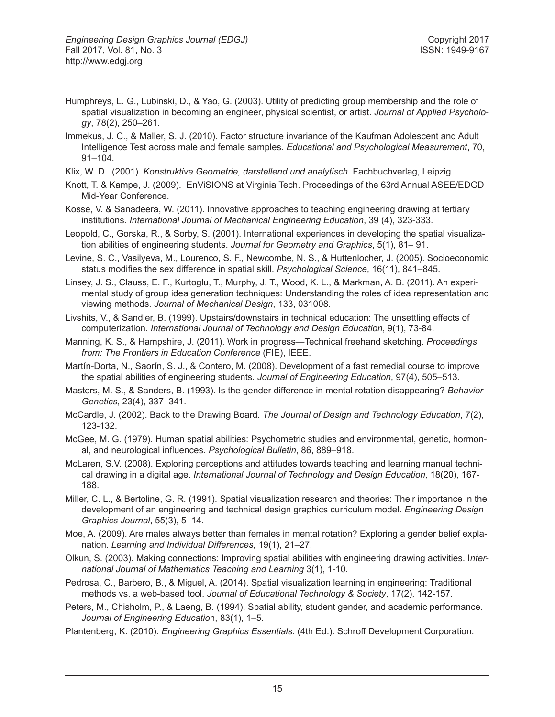- Humphreys, L. G., Lubinski, D., & Yao, G. (2003). Utility of predicting group membership and the role of spatial visualization in becoming an engineer, physical scientist, or artist. *Journal of Applied Psychology*, 78(2), 250–261.
- Immekus, J. C., & Maller, S. J. (2010). Factor structure invariance of the Kaufman Adolescent and Adult Intelligence Test across male and female samples. *Educational and Psychological Measurement*, 70, 91–104.
- Klix, W. D. (2001). *Konstruktive Geometrie, darstellend und analytisch*. Fachbuchverlag, Leipzig.
- Knott, T. & Kampe, J. (2009). EnViSIONS at Virginia Tech. Proceedings of the 63rd Annual ASEE/EDGD Mid-Year Conference.
- Kosse, V. & Sanadeera, W. (2011). Innovative approaches to teaching engineering drawing at tertiary institutions. *International Journal of Mechanical Engineering Education*, 39 (4), 323-333.
- Leopold, C., Gorska, R., & Sorby, S. (2001). International experiences in developing the spatial visualization abilities of engineering students. *Journal for Geometry and Graphics*, 5(1), 81– 91.
- Levine, S. C., Vasilyeva, M., Lourenco, S. F., Newcombe, N. S., & Huttenlocher, J. (2005). Socioeconomic status modifies the sex difference in spatial skill. *Psychological Science*, 16(11), 841–845.
- Linsey, J. S., Clauss, E. F., Kurtoglu, T., Murphy, J. T., Wood, K. L., & Markman, A. B. (2011). An experimental study of group idea generation techniques: Understanding the roles of idea representation and viewing methods. *Journal of Mechanical Design*, 133, 031008.
- Livshits, V., & Sandler, B. (1999). Upstairs/downstairs in technical education: The unsettling effects of computerization. *International Journal of Technology and Design Education*, 9(1), 73-84.
- Manning, K. S., & Hampshire, J. (2011). Work in progress—Technical freehand sketching. *Proceedings from: The Frontiers in Education Conference* (FIE), IEEE.
- Martín-Dorta, N., Saorín, S. J., & Contero, M. (2008). Development of a fast remedial course to improve the spatial abilities of engineering students. *Journal of Engineering Education*, 97(4), 505–513.
- Masters, M. S., & Sanders, B. (1993). Is the gender difference in mental rotation disappearing? *Behavior Genetics*, 23(4), 337–341.
- McCardle, J. (2002). Back to the Drawing Board. *The Journal of Design and Technology Education*, 7(2), 123-132.
- McGee, M. G. (1979). Human spatial abilities: Psychometric studies and environmental, genetic, hormonal, and neurological influences. *Psychological Bulletin*, 86, 889–918.
- McLaren, S.V. (2008). Exploring perceptions and attitudes towards teaching and learning manual technical drawing in a digital age. *International Journal of Technology and Design Education*, 18(20), 167- 188.
- Miller, C. L., & Bertoline, G. R. (1991). Spatial visualization research and theories: Their importance in the development of an engineering and technical design graphics curriculum model. *Engineering Design Graphics Journal*, 55(3), 5–14.
- Moe, A. (2009). Are males always better than females in mental rotation? Exploring a gender belief explanation. *Learning and Individual Differences*, 19(1), 21–27.
- Olkun, S. (2003). Making connections: Improving spatial abilities with engineering drawing activities. I*nternational Journal of Mathematics Teaching and Learning* 3(1), 1-10.
- Pedrosa, C., Barbero, B., & Miguel, A. (2014). Spatial visualization learning in engineering: Traditional methods vs. a web-based tool. *Journal of Educational Technology & Society*, 17(2), 142-157.
- Peters, M., Chisholm, P., & Laeng, B. (1994). Spatial ability, student gender, and academic performance. *Journal of Engineering Educatio*n, 83(1), 1–5.
- Plantenberg, K. (2010). *Engineering Graphics Essentials*. (4th Ed.). Schroff Development Corporation.